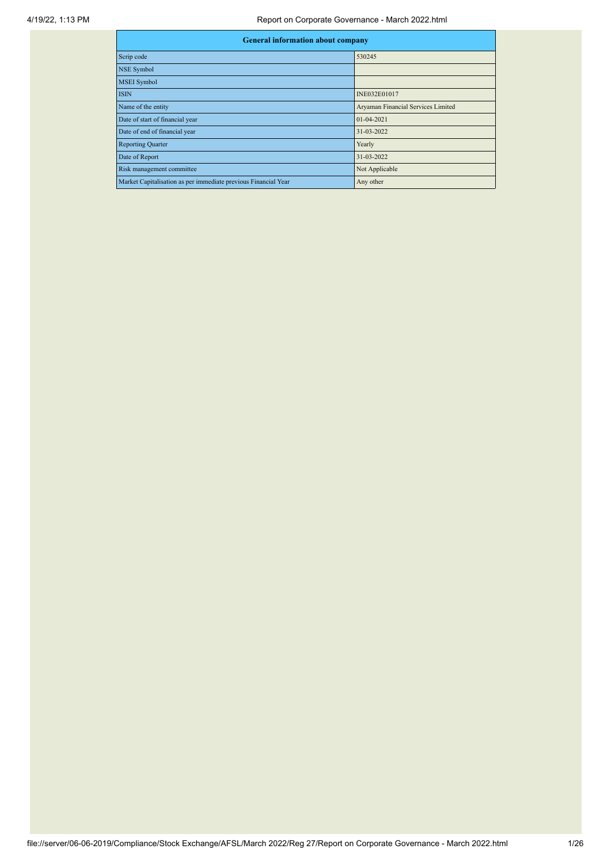## 4/19/22, 1:13 PM Report on Corporate Governance - March 2022.html

| <b>General information about company</b>                       |                                    |  |  |  |  |  |  |
|----------------------------------------------------------------|------------------------------------|--|--|--|--|--|--|
| Scrip code                                                     | 530245                             |  |  |  |  |  |  |
| <b>NSE Symbol</b>                                              |                                    |  |  |  |  |  |  |
| <b>MSEI</b> Symbol                                             |                                    |  |  |  |  |  |  |
| <b>ISIN</b>                                                    | INE032E01017                       |  |  |  |  |  |  |
| Name of the entity                                             | Aryaman Financial Services Limited |  |  |  |  |  |  |
| Date of start of financial year                                | $01 - 04 - 2021$                   |  |  |  |  |  |  |
| Date of end of financial year                                  | 31-03-2022                         |  |  |  |  |  |  |
| <b>Reporting Quarter</b>                                       | Yearly                             |  |  |  |  |  |  |
| Date of Report                                                 | 31-03-2022                         |  |  |  |  |  |  |
| Risk management committee                                      | Not Applicable                     |  |  |  |  |  |  |
| Market Capitalisation as per immediate previous Financial Year | Any other                          |  |  |  |  |  |  |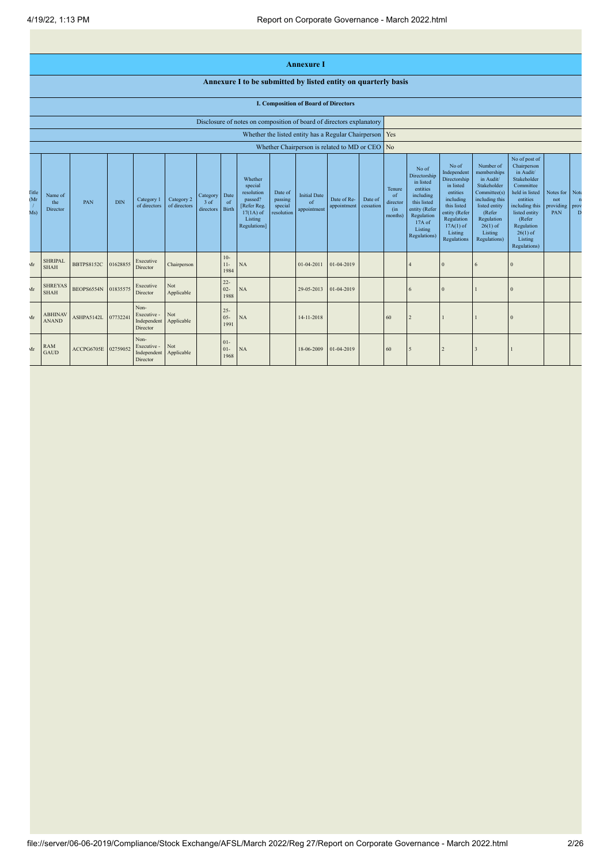|                            |                                             |                   |            |                                                |                            |                                       |                          |                                                                                                      |                                             | <b>Annexure I</b>                                         |                            |                      |                                            |                                                                                                                                                |                                                                                                                                                                   |                                                                                                                                                                          |                                                                                                                                                                                                         |                                      |                                   |
|----------------------------|---------------------------------------------|-------------------|------------|------------------------------------------------|----------------------------|---------------------------------------|--------------------------|------------------------------------------------------------------------------------------------------|---------------------------------------------|-----------------------------------------------------------|----------------------------|----------------------|--------------------------------------------|------------------------------------------------------------------------------------------------------------------------------------------------|-------------------------------------------------------------------------------------------------------------------------------------------------------------------|--------------------------------------------------------------------------------------------------------------------------------------------------------------------------|---------------------------------------------------------------------------------------------------------------------------------------------------------------------------------------------------------|--------------------------------------|-----------------------------------|
|                            |                                             |                   |            |                                                |                            |                                       |                          | Annexure I to be submitted by listed entity on quarterly basis                                       |                                             |                                                           |                            |                      |                                            |                                                                                                                                                |                                                                                                                                                                   |                                                                                                                                                                          |                                                                                                                                                                                                         |                                      |                                   |
|                            | <b>I. Composition of Board of Directors</b> |                   |            |                                                |                            |                                       |                          |                                                                                                      |                                             |                                                           |                            |                      |                                            |                                                                                                                                                |                                                                                                                                                                   |                                                                                                                                                                          |                                                                                                                                                                                                         |                                      |                                   |
|                            |                                             |                   |            |                                                |                            |                                       |                          | Disclosure of notes on composition of board of directors explanatory                                 |                                             |                                                           |                            |                      |                                            |                                                                                                                                                |                                                                                                                                                                   |                                                                                                                                                                          |                                                                                                                                                                                                         |                                      |                                   |
|                            |                                             |                   |            |                                                |                            |                                       |                          |                                                                                                      |                                             | Whether the listed entity has a Regular Chairperson   Yes |                            |                      |                                            |                                                                                                                                                |                                                                                                                                                                   |                                                                                                                                                                          |                                                                                                                                                                                                         |                                      |                                   |
|                            |                                             |                   |            |                                                |                            |                                       |                          |                                                                                                      |                                             | Whether Chairperson is related to MD or CEO               |                            |                      | No                                         |                                                                                                                                                |                                                                                                                                                                   |                                                                                                                                                                          |                                                                                                                                                                                                         |                                      |                                   |
| <b>Fitle</b><br>(Mr<br>Ms) | Name of<br>the<br>Director                  | <b>PAN</b>        | <b>DIN</b> | Category 1<br>of directors                     | Category 2<br>of directors | Category<br>$3$ of<br>directors Birth | Date<br>of               | Whether<br>special<br>resolution<br>passed?<br>[Refer Reg.<br>$17(1A)$ of<br>Listing<br>Regulations] | Date of<br>passing<br>special<br>resolution | <b>Initial Date</b><br>of<br>appointment                  | Date of Re-<br>appointment | Date of<br>cessation | Tenure<br>of<br>director<br>(in<br>months) | No of<br>Directorship<br>in listed<br>entities<br>including<br>this listed<br>entity (Refer<br>Regulation<br>17A of<br>Listing<br>Regulations) | No of<br>Independent<br>Directorship<br>in listed<br>entities<br>including<br>this listed<br>entity (Refer<br>Regulation<br>$17A(1)$ of<br>Listing<br>Regulations | Number of<br>memberships<br>in Audit/<br>Stakeholder<br>Committee(s)<br>including this<br>listed entity<br>(Refer<br>Regulation<br>$26(1)$ of<br>Listing<br>Regulations) | No of post of<br>Chairperson<br>in Audit/<br>Stakeholder<br>Committee<br>held in listed<br>entities<br>including this<br>listed entity<br>(Refer<br>Regulation<br>$26(1)$ of<br>Listing<br>Regulations) | Notes for<br>not<br>providing<br>PAN | Note<br>$\mathbf{n}$<br>prov<br>D |
| Mr                         | <b>SHRIPAL</b><br><b>SHAH</b>               | <b>BBTPS8152C</b> | 01628855   | Executive<br>Director                          | Chairperson                |                                       | $10-$<br>$11 -$<br>1984  | NA                                                                                                   |                                             | 01-04-2011                                                | 01-04-2019                 |                      |                                            |                                                                                                                                                | $\mathbf{0}$                                                                                                                                                      | 6                                                                                                                                                                        | $\Omega$                                                                                                                                                                                                |                                      |                                   |
| Mr                         | <b>SHREYAS</b><br><b>SHAH</b>               | BEOPS6554N        | 01835575   | Executive<br>Director                          | Not<br>Applicable          |                                       | $22 -$<br>$02 -$<br>1988 | NA                                                                                                   |                                             | 29-05-2013                                                | 01-04-2019                 |                      |                                            | 6                                                                                                                                              | $\Omega$                                                                                                                                                          |                                                                                                                                                                          |                                                                                                                                                                                                         |                                      |                                   |
| $\mathbf{Ar}$              | <b>ABHINAV</b><br><b>ANAND</b>              | ASHPA5142L        | 07732241   | Non-<br>Executive -<br>Independent<br>Director | Not<br>Applicable          |                                       | $25 -$<br>$05 -$<br>1991 | NA                                                                                                   |                                             | 14-11-2018                                                |                            |                      | 60                                         | $\overline{2}$                                                                                                                                 |                                                                                                                                                                   |                                                                                                                                                                          | $\Omega$                                                                                                                                                                                                |                                      |                                   |
| Mr                         | <b>RAM</b><br><b>GAUD</b>                   | ACCPG6705E        | 02759052   | Non-<br>Executive -<br>Independent<br>Director | Not<br>Applicable          |                                       | $01 -$<br>$01 -$<br>1968 | NA                                                                                                   |                                             | 18-06-2009                                                | 01-04-2019                 |                      | 60                                         | 5                                                                                                                                              | $\overline{2}$                                                                                                                                                    | 3                                                                                                                                                                        |                                                                                                                                                                                                         |                                      |                                   |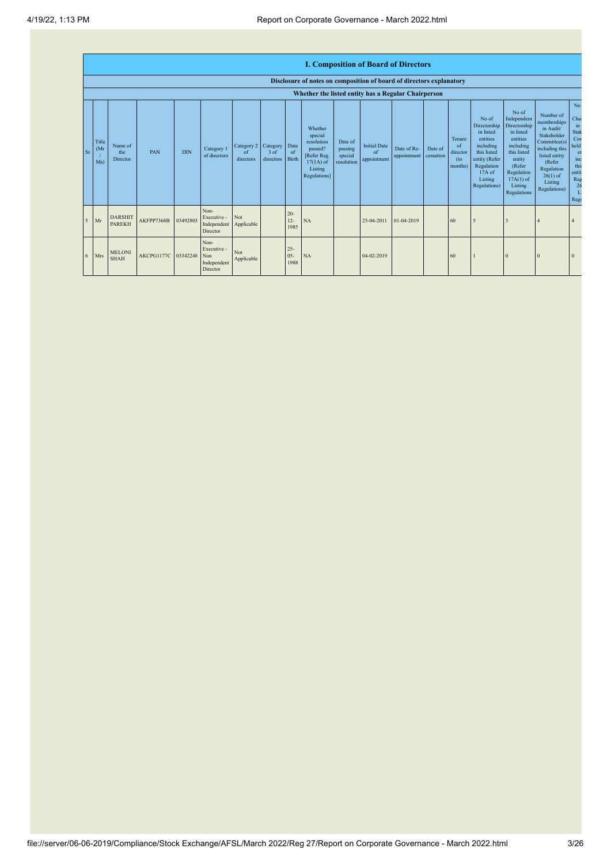|    | <b>I. Composition of Board of Directors</b><br>Disclosure of notes on composition of board of directors explanatory |                                 |            |            |                                                       |                               |                                 |                                |                                                                                                      |                                             |                                          |                            |                      |                                            |                                                                                                                                                |                                                                                                                                                                             |                                                                                                                                                                          |                                                                                                            |
|----|---------------------------------------------------------------------------------------------------------------------|---------------------------------|------------|------------|-------------------------------------------------------|-------------------------------|---------------------------------|--------------------------------|------------------------------------------------------------------------------------------------------|---------------------------------------------|------------------------------------------|----------------------------|----------------------|--------------------------------------------|------------------------------------------------------------------------------------------------------------------------------------------------|-----------------------------------------------------------------------------------------------------------------------------------------------------------------------------|--------------------------------------------------------------------------------------------------------------------------------------------------------------------------|------------------------------------------------------------------------------------------------------------|
|    | Whether the listed entity has a Regular Chairperson                                                                 |                                 |            |            |                                                       |                               |                                 |                                |                                                                                                      |                                             |                                          |                            |                      |                                            |                                                                                                                                                |                                                                                                                                                                             |                                                                                                                                                                          |                                                                                                            |
| Sr | Title<br>(M <sub>1</sub> )<br>Ms)                                                                                   | Name of<br>the<br>Director      | PAN        | <b>DIN</b> | Category 1<br>of directors                            | Category 2<br>of<br>directors | Category<br>$3$ of<br>directors | Date<br><sub>of</sub><br>Birth | Whether<br>special<br>resolution<br>passed?<br>[Refer Reg.<br>$17(1A)$ of<br>Listing<br>Regulations] | Date of<br>passing<br>special<br>resolution | <b>Initial Date</b><br>of<br>appointment | Date of Re-<br>appointment | Date of<br>cessation | Tenure<br>of<br>director<br>(in<br>months) | No of<br>Directorship<br>in listed<br>entities<br>including<br>this listed<br>entity (Refer<br>Regulation<br>17A of<br>Listing<br>Regulations) | No of<br>Independent<br>Directorship<br>in listed<br>entities<br>including<br>this listed<br>entity<br>(Refer<br>Regulation<br>$17A(1)$ of<br>Listing<br><b>Regulations</b> | Number of<br>memberships<br>in Audit/<br>Stakeholder<br>Committee(s)<br>including this<br>listed entity<br>(Refer<br>Regulation<br>$26(1)$ of<br>Listing<br>Regulations) | N <sub>o</sub><br>Cha<br>in<br>Stak<br>Con<br>held<br>en<br>inc<br>this<br>entit<br>Reg<br>26<br>Li<br>Reg |
| 5  | Mr                                                                                                                  | <b>DARSHIT</b><br><b>PAREKH</b> | AKFPP7368B | 03492803   | Non-<br>Executive -<br>Independent<br>Director        | Not<br>Applicable             |                                 | $20 -$<br>$12 -$<br>1985       | NA                                                                                                   |                                             | 25-04-2011                               | 01-04-2019                 |                      | 60                                         | $\overline{5}$                                                                                                                                 |                                                                                                                                                                             |                                                                                                                                                                          |                                                                                                            |
| 6  | Mrs                                                                                                                 | <b>MELONI</b><br><b>SHAH</b>    | AKCPG1177C | 03342248   | Non-<br>Executive -<br>Non<br>Independent<br>Director | Not<br>Applicable             |                                 | $25 -$<br>$05 -$<br>1988       | NA                                                                                                   |                                             | 04-02-2019                               |                            |                      | 60                                         |                                                                                                                                                | $\overline{0}$                                                                                                                                                              | $\Omega$                                                                                                                                                                 |                                                                                                            |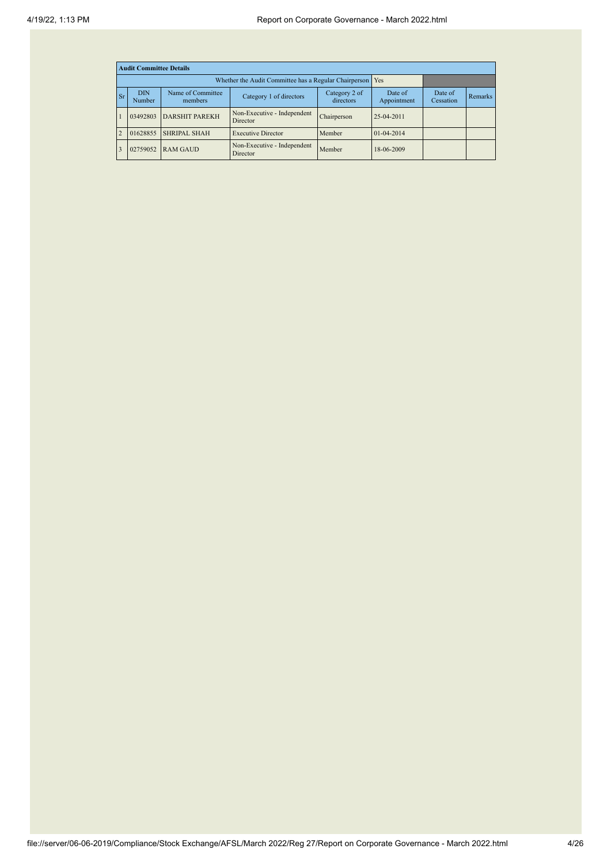|                | <b>Audit Committee Details</b> |                                                       |                                         |                            |                        |                      |         |  |  |  |  |
|----------------|--------------------------------|-------------------------------------------------------|-----------------------------------------|----------------------------|------------------------|----------------------|---------|--|--|--|--|
|                |                                | Whether the Audit Committee has a Regular Chairperson | <b>Yes</b>                              |                            |                        |                      |         |  |  |  |  |
| <b>Sr</b>      | <b>DIN</b><br><b>Number</b>    | Name of Committee<br>members                          | Category 1 of directors                 | Category 2 of<br>directors | Date of<br>Appointment | Date of<br>Cessation | Remarks |  |  |  |  |
|                | 03492803                       | <b>DARSHIT PAREKH</b>                                 | Non-Executive - Independent<br>Director | Chairperson                | 25-04-2011             |                      |         |  |  |  |  |
| $\overline{2}$ | 01628855                       | <b>SHRIPAL SHAH</b>                                   | <b>Executive Director</b>               | Member                     | $01 - 04 - 2014$       |                      |         |  |  |  |  |
| 3              | 02759052                       | <b>RAM GAUD</b>                                       | Non-Executive - Independent<br>Director | Member                     | 18-06-2009             |                      |         |  |  |  |  |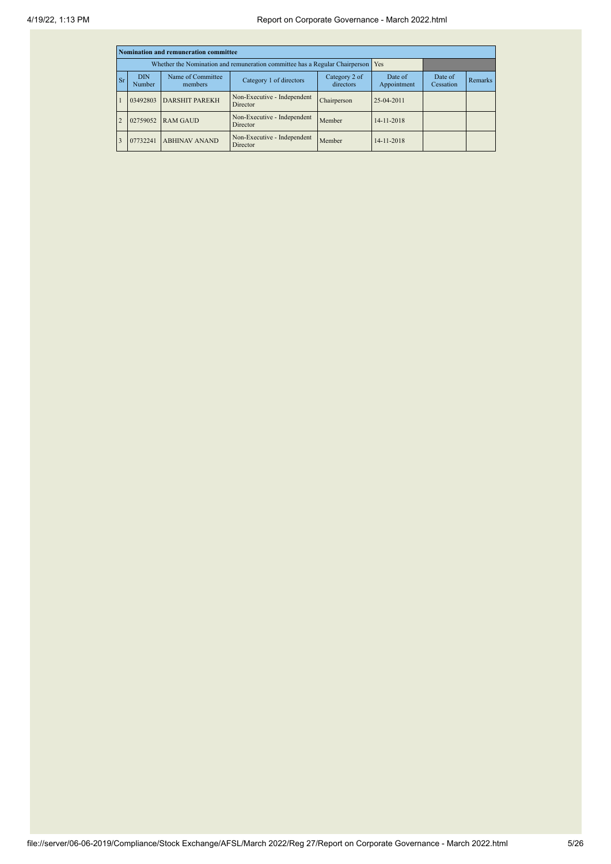|           |                      | Nomination and remuneration committee |                                                                             |                            |                        |                      |         |
|-----------|----------------------|---------------------------------------|-----------------------------------------------------------------------------|----------------------------|------------------------|----------------------|---------|
|           |                      |                                       | Whether the Nomination and remuneration committee has a Regular Chairperson |                            | Yes                    |                      |         |
| <b>Sr</b> | <b>DIN</b><br>Number | Name of Committee<br>members          | Category 1 of directors                                                     | Category 2 of<br>directors | Date of<br>Appointment | Date of<br>Cessation | Remarks |
|           | 03492803             | <b>DARSHIT PAREKH</b>                 | Non-Executive - Independent<br>Director                                     | Chairperson                | 25-04-2011             |                      |         |
|           | 02759052             | <b>RAM GAUD</b>                       | Non-Executive - Independent<br>Director                                     | Member                     | 14-11-2018             |                      |         |
| 3         | 07732241             | <b>ABHINAV ANAND</b>                  | Non-Executive - Independent<br>Director                                     | Member                     | 14-11-2018             |                      |         |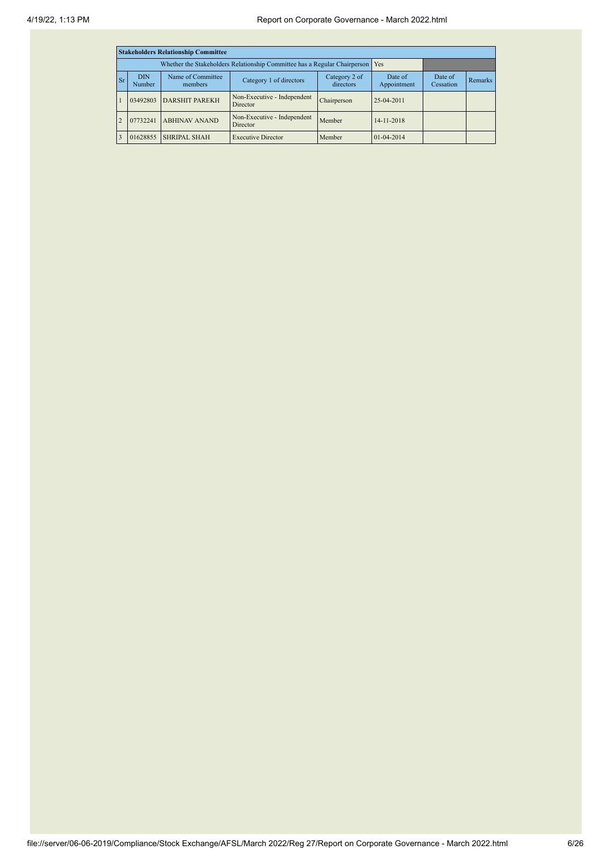| <b>Stakeholders Relationship Committee</b> |                      |                                                                               |                                         |                            |                        |                      |                |  |  |  |
|--------------------------------------------|----------------------|-------------------------------------------------------------------------------|-----------------------------------------|----------------------------|------------------------|----------------------|----------------|--|--|--|
|                                            |                      | Whether the Stakeholders Relationship Committee has a Regular Chairperson Yes |                                         |                            |                        |                      |                |  |  |  |
| Sr <sub>1</sub>                            | <b>DIN</b><br>Number | Name of Committee<br>members                                                  | Category 1 of directors                 | Category 2 of<br>directors | Date of<br>Appointment | Date of<br>Cessation | <b>Remarks</b> |  |  |  |
|                                            | 03492803             | <b>DARSHIT PAREKH</b>                                                         | Non-Executive - Independent<br>Director | Chairperson                | 25-04-2011             |                      |                |  |  |  |
|                                            | 07732241             | Non-Executive - Independent<br><b>ABHINAV ANAND</b><br>Director               |                                         | Member                     | 14-11-2018             |                      |                |  |  |  |
|                                            | 01628855             | <b>SHRIPAL SHAH</b>                                                           | <b>Executive Director</b>               | Member                     | $01 - 04 - 2014$       |                      |                |  |  |  |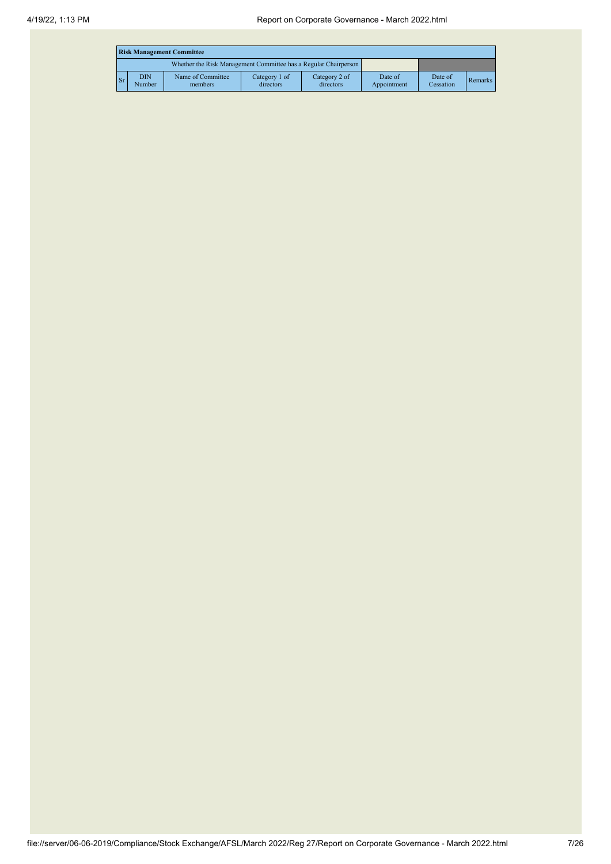|                                                                 | <b>Risk Management Committee</b> |                              |                            |                            |                        |                      |                |  |  |  |  |
|-----------------------------------------------------------------|----------------------------------|------------------------------|----------------------------|----------------------------|------------------------|----------------------|----------------|--|--|--|--|
| Whether the Risk Management Committee has a Regular Chairperson |                                  |                              |                            |                            |                        |                      |                |  |  |  |  |
| Sг                                                              | <b>DIN</b><br>Number             | Name of Committee<br>members | Category 1 of<br>directors | Category 2 of<br>directors | Date of<br>Appointment | Date of<br>Cessation | <b>Remarks</b> |  |  |  |  |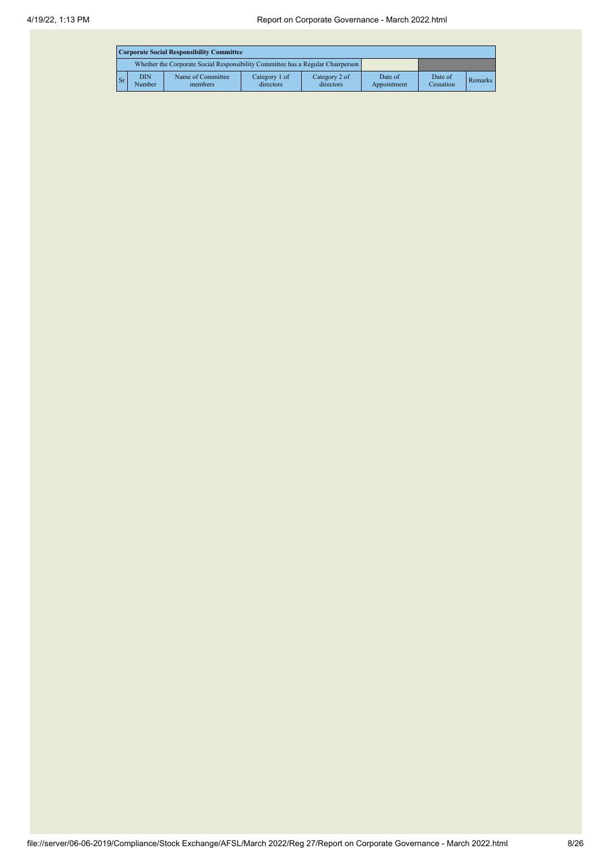|                                                                                 | Corporate Social Responsibility Committee |                              |                            |                            |                        |                      |         |  |  |  |
|---------------------------------------------------------------------------------|-------------------------------------------|------------------------------|----------------------------|----------------------------|------------------------|----------------------|---------|--|--|--|
| Whether the Corporate Social Responsibility Committee has a Regular Chairperson |                                           |                              |                            |                            |                        |                      |         |  |  |  |
| Sr.                                                                             | <b>DIN</b><br>Number                      | Name of Committee<br>members | Category 1 of<br>directors | Category 2 of<br>directors | Date of<br>Appointment | Date of<br>Cessation | Remarks |  |  |  |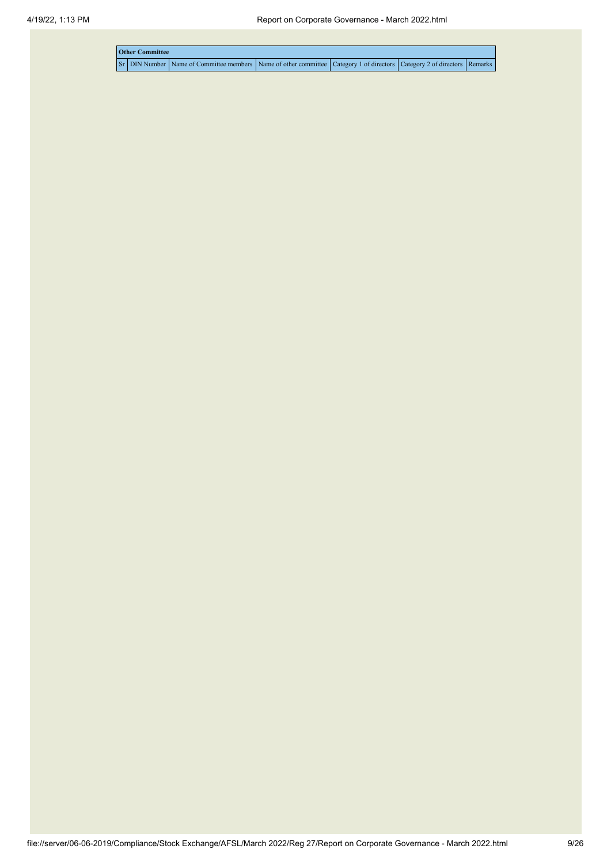|  | <b>Other Committee</b> |                                                                                                                                     |  |  |
|--|------------------------|-------------------------------------------------------------------------------------------------------------------------------------|--|--|
|  |                        | Sr   DIN Number   Name of Committee members   Name of other committee   Category 1 of directors   Category 2 of directors   Remarks |  |  |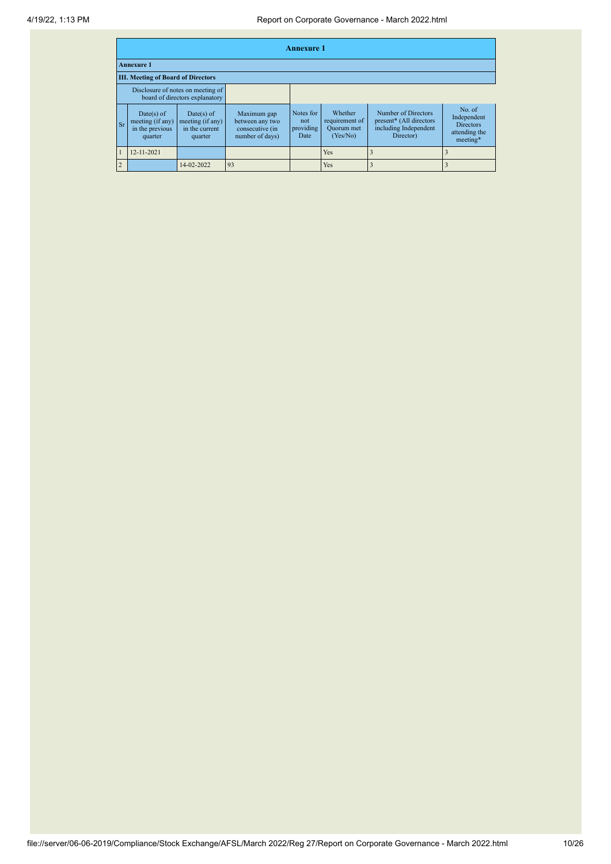|                   | <b>Annexure 1</b>                                            |                                                                     |                                                                      |                                       |                                                            |                                                                                      |                                                                        |  |  |  |  |
|-------------------|--------------------------------------------------------------|---------------------------------------------------------------------|----------------------------------------------------------------------|---------------------------------------|------------------------------------------------------------|--------------------------------------------------------------------------------------|------------------------------------------------------------------------|--|--|--|--|
| <b>Annexure 1</b> |                                                              |                                                                     |                                                                      |                                       |                                                            |                                                                                      |                                                                        |  |  |  |  |
|                   | <b>III. Meeting of Board of Directors</b>                    |                                                                     |                                                                      |                                       |                                                            |                                                                                      |                                                                        |  |  |  |  |
|                   |                                                              | Disclosure of notes on meeting of<br>board of directors explanatory |                                                                      |                                       |                                                            |                                                                                      |                                                                        |  |  |  |  |
| <b>Sr</b>         | Date(s) of<br>meeting (if any)<br>in the previous<br>quarter | $Date(s)$ of<br>meeting (if any)<br>in the current<br>quarter       | Maximum gap<br>between any two<br>consecutive (in<br>number of days) | Notes for<br>not<br>providing<br>Date | Whether<br>requirement of<br><b>Ouorum</b> met<br>(Yes/No) | Number of Directors<br>present* (All directors<br>including Independent<br>Director) | No. of<br>Independent<br><b>Directors</b><br>attending the<br>meeting* |  |  |  |  |
|                   | 12-11-2021                                                   |                                                                     |                                                                      |                                       | Yes                                                        |                                                                                      |                                                                        |  |  |  |  |
| $\overline{2}$    |                                                              | 14-02-2022                                                          | 93                                                                   |                                       | Yes                                                        |                                                                                      |                                                                        |  |  |  |  |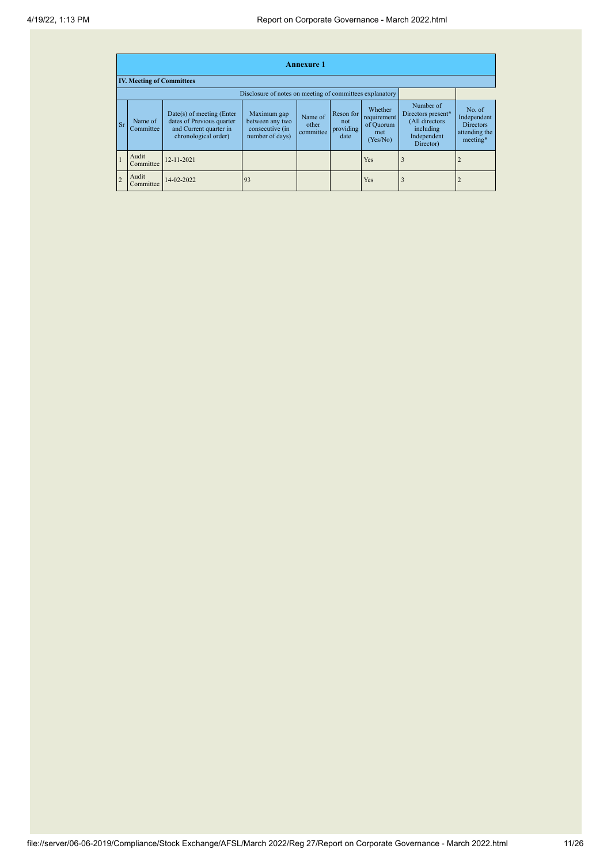|                | <b>Annexure 1</b>                |                                                                                                            |                                                                      |                               |                                       |                                                        |                                                                                            |                                                                        |  |  |  |  |
|----------------|----------------------------------|------------------------------------------------------------------------------------------------------------|----------------------------------------------------------------------|-------------------------------|---------------------------------------|--------------------------------------------------------|--------------------------------------------------------------------------------------------|------------------------------------------------------------------------|--|--|--|--|
|                | <b>IV. Meeting of Committees</b> |                                                                                                            |                                                                      |                               |                                       |                                                        |                                                                                            |                                                                        |  |  |  |  |
|                |                                  |                                                                                                            | Disclosure of notes on meeting of committees explanatory             |                               |                                       |                                                        |                                                                                            |                                                                        |  |  |  |  |
| <b>Sr</b>      | Name of<br>Committee             | $Date(s)$ of meeting (Enter<br>dates of Previous quarter<br>and Current quarter in<br>chronological order) | Maximum gap<br>between any two<br>consecutive (in<br>number of days) | Name of<br>other<br>committee | Reson for<br>not<br>providing<br>date | Whether<br>requirement<br>of Quorum<br>met<br>(Yes/No) | Number of<br>Directors present*<br>(All directors<br>including<br>Independent<br>Director) | No. of<br>Independent<br><b>Directors</b><br>attending the<br>meeting* |  |  |  |  |
|                | Audit<br>Committee               | 12-11-2021                                                                                                 |                                                                      |                               |                                       | Yes                                                    |                                                                                            |                                                                        |  |  |  |  |
| $\overline{c}$ | Audit<br>Committee               | 14-02-2022                                                                                                 | 93                                                                   |                               |                                       | Yes                                                    |                                                                                            |                                                                        |  |  |  |  |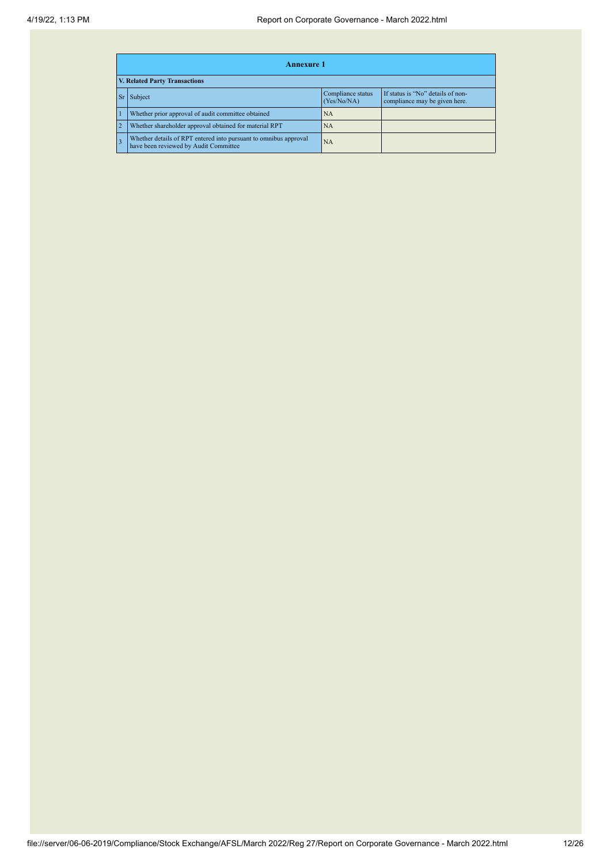|    | <b>Annexure 1</b>                                                                                         |                                  |                                                                    |  |  |  |  |  |  |  |
|----|-----------------------------------------------------------------------------------------------------------|----------------------------------|--------------------------------------------------------------------|--|--|--|--|--|--|--|
|    | <b>V. Related Party Transactions</b>                                                                      |                                  |                                                                    |  |  |  |  |  |  |  |
| Sr | Subject                                                                                                   | Compliance status<br>(Yes/No/NA) | If status is "No" details of non-<br>compliance may be given here. |  |  |  |  |  |  |  |
|    | Whether prior approval of audit committee obtained                                                        | NA                               |                                                                    |  |  |  |  |  |  |  |
|    | Whether shareholder approval obtained for material RPT                                                    | NA                               |                                                                    |  |  |  |  |  |  |  |
|    | Whether details of RPT entered into pursuant to omnibus approval<br>have been reviewed by Audit Committee | NA                               |                                                                    |  |  |  |  |  |  |  |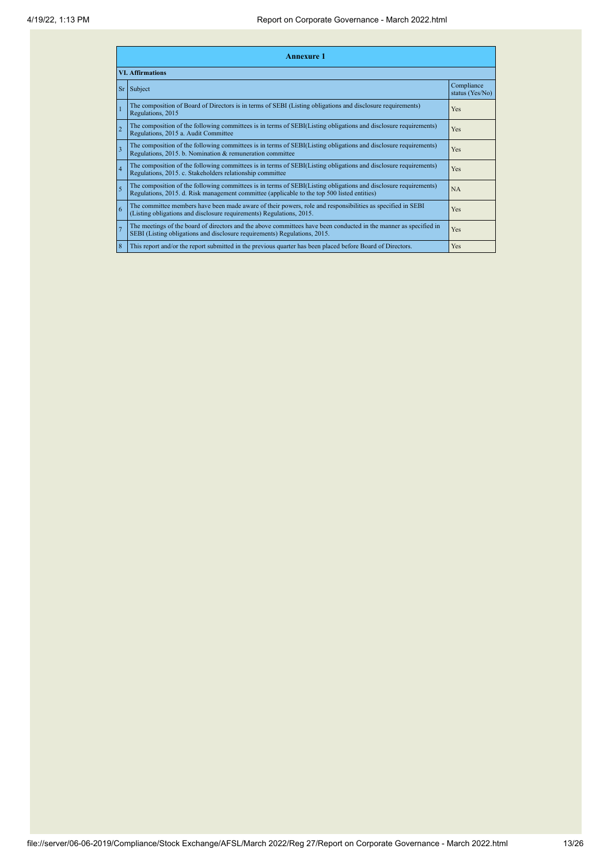|                 | <b>Annexure 1</b>                                                                                                                                                                                               |                               |  |  |  |  |
|-----------------|-----------------------------------------------------------------------------------------------------------------------------------------------------------------------------------------------------------------|-------------------------------|--|--|--|--|
|                 | <b>VI. Affirmations</b>                                                                                                                                                                                         |                               |  |  |  |  |
| Sr <sub>1</sub> | Subject                                                                                                                                                                                                         | Compliance<br>status (Yes/No) |  |  |  |  |
|                 | The composition of Board of Directors is in terms of SEBI (Listing obligations and disclosure requirements)<br>Regulations, 2015                                                                                | Yes                           |  |  |  |  |
| $\overline{c}$  | The composition of the following committees is in terms of SEBI(Listing obligations and disclosure requirements)<br>Regulations, 2015 a. Audit Committee                                                        | <b>Yes</b>                    |  |  |  |  |
| 3               | The composition of the following committees is in terms of SEBI(Listing obligations and disclosure requirements)<br>Regulations, 2015. b. Nomination & remuneration committee                                   | Yes                           |  |  |  |  |
| $\overline{4}$  | The composition of the following committees is in terms of SEBI(Listing obligations and disclosure requirements)<br>Regulations, 2015. c. Stakeholders relationship committee                                   | Yes                           |  |  |  |  |
| 5               | The composition of the following committees is in terms of SEBI(Listing obligations and disclosure requirements)<br>Regulations, 2015. d. Risk management committee (applicable to the top 500 listed entities) | <b>NA</b>                     |  |  |  |  |
| 6               | The committee members have been made aware of their powers, role and responsibilities as specified in SEBI<br>(Listing obligations and disclosure requirements) Regulations, 2015.                              | Yes                           |  |  |  |  |
| $\overline{7}$  | The meetings of the board of directors and the above committees have been conducted in the manner as specified in<br>SEBI (Listing obligations and disclosure requirements) Regulations, 2015.                  | <b>Yes</b>                    |  |  |  |  |
| 8               | This report and/or the report submitted in the previous quarter has been placed before Board of Directors.                                                                                                      | <b>Yes</b>                    |  |  |  |  |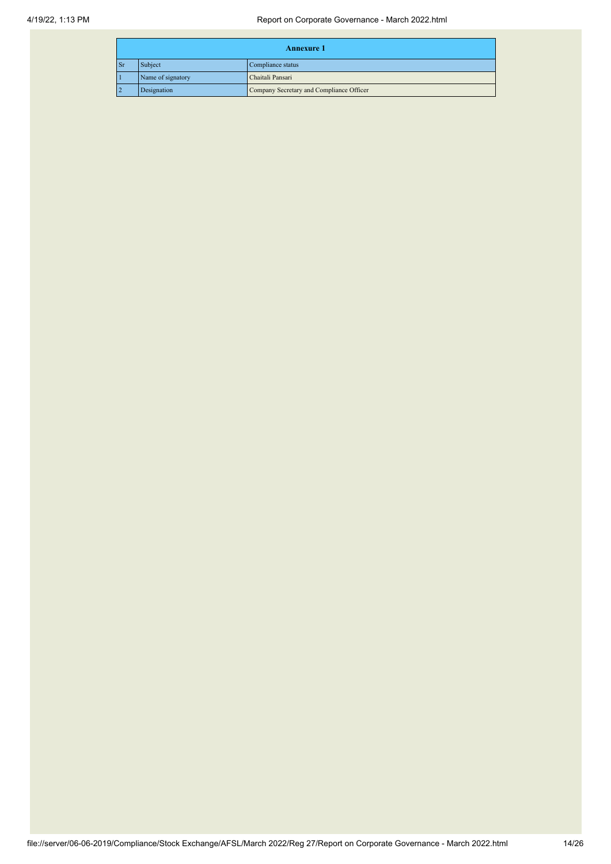| <b>Annexure 1</b> |                   |                                          |  |  |
|-------------------|-------------------|------------------------------------------|--|--|
| <b>Sr</b>         | Subject           | Compliance status                        |  |  |
|                   | Name of signatory | Chaitali Pansari                         |  |  |
|                   | Designation       | Company Secretary and Compliance Officer |  |  |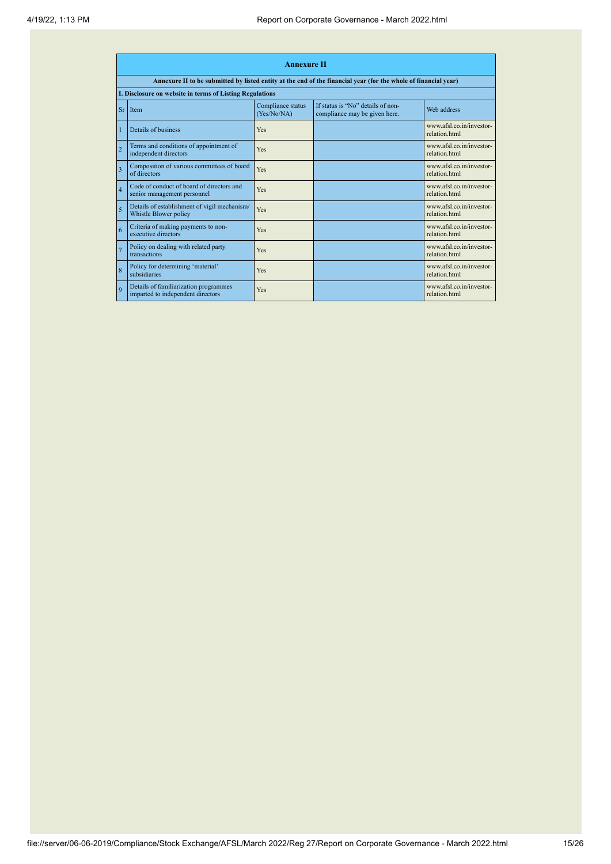|                | <b>Annexure II</b>                                                         |                                  |                                                                                                                 |                                           |  |  |
|----------------|----------------------------------------------------------------------------|----------------------------------|-----------------------------------------------------------------------------------------------------------------|-------------------------------------------|--|--|
|                |                                                                            |                                  | Annexure II to be submitted by listed entity at the end of the financial year (for the whole of financial year) |                                           |  |  |
|                | I. Disclosure on website in terms of Listing Regulations                   |                                  |                                                                                                                 |                                           |  |  |
| <b>Sr</b>      | <b>Item</b>                                                                | Compliance status<br>(Yes/No/NA) | If status is "No" details of non-<br>compliance may be given here.                                              | Web address                               |  |  |
|                | Details of business                                                        | Yes                              |                                                                                                                 | www.afsl.co.in/investor-<br>relation html |  |  |
| $\overline{2}$ | Terms and conditions of appointment of<br>independent directors            | Yes                              |                                                                                                                 | www.afsl.co.in/investor-<br>relation html |  |  |
| $\overline{3}$ | Composition of various committees of board<br>of directors                 | Yes                              |                                                                                                                 | www.afsl.co.in/investor-<br>relation html |  |  |
| $\overline{4}$ | Code of conduct of board of directors and<br>senior management personnel   | Yes                              |                                                                                                                 | www.afsl.co.in/investor-<br>relation html |  |  |
| 5              | Details of establishment of vigil mechanism/<br>Whistle Blower policy      | Yes                              |                                                                                                                 | www.afsl.co.in/investor-<br>relation html |  |  |
| 6              | Criteria of making payments to non-<br>executive directors                 | Yes                              |                                                                                                                 | www.afsl.co.in/investor-<br>relation html |  |  |
| $\overline{7}$ | Policy on dealing with related party<br>transactions                       | Yes                              |                                                                                                                 | www.afsl.co.in/investor-<br>relation html |  |  |
| 8              | Policy for determining 'material'<br>subsidiaries                          | Yes                              |                                                                                                                 | www.afsl.co.in/investor-<br>relation html |  |  |
| $\mathbf{Q}$   | Details of familiarization programmes<br>imparted to independent directors | Yes                              |                                                                                                                 | www.afsl.co.in/investor-<br>relation.html |  |  |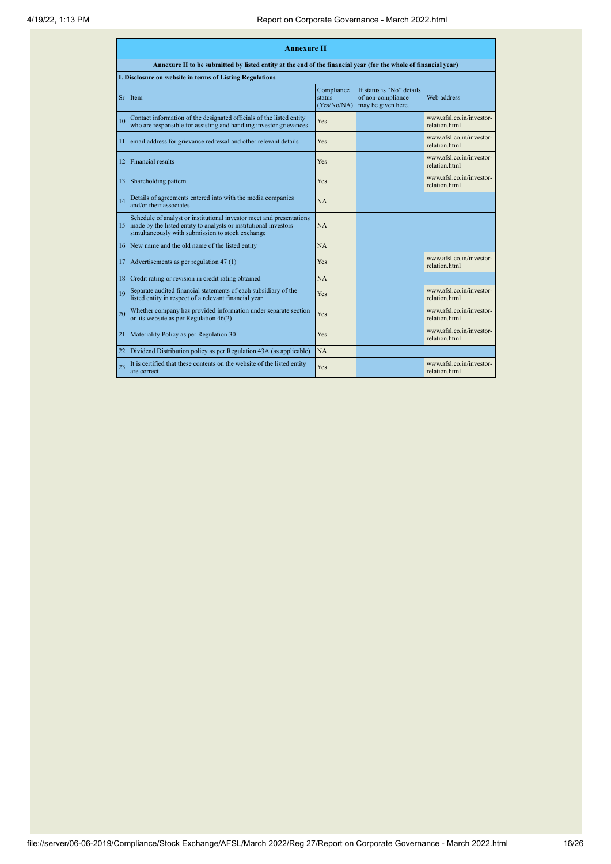|    | <b>Annexure II</b>                                                                                                                                                                           |                                     |                                                                      |                                           |  |  |  |
|----|----------------------------------------------------------------------------------------------------------------------------------------------------------------------------------------------|-------------------------------------|----------------------------------------------------------------------|-------------------------------------------|--|--|--|
|    | Annexure II to be submitted by listed entity at the end of the financial year (for the whole of financial year)                                                                              |                                     |                                                                      |                                           |  |  |  |
|    | I. Disclosure on website in terms of Listing Regulations                                                                                                                                     |                                     |                                                                      |                                           |  |  |  |
| Sr | Item                                                                                                                                                                                         | Compliance<br>status<br>(Yes/No/NA) | If status is "No" details<br>of non-compliance<br>may be given here. | Web address                               |  |  |  |
| 10 | Contact information of the designated officials of the listed entity<br>who are responsible for assisting and handling investor grievances                                                   | <b>Yes</b>                          |                                                                      | www.afsl.co.in/investor-<br>relation html |  |  |  |
| 11 | email address for grievance redressal and other relevant details                                                                                                                             | <b>Yes</b>                          |                                                                      | www.afsl.co.in/investor-<br>relation.html |  |  |  |
| 12 | <b>Financial results</b>                                                                                                                                                                     | <b>Yes</b>                          |                                                                      | www afsl co in/investor-<br>relation.html |  |  |  |
| 13 | Shareholding pattern                                                                                                                                                                         | <b>Yes</b>                          |                                                                      | www.afsl.co.in/investor-<br>relation html |  |  |  |
| 14 | Details of agreements entered into with the media companies<br>and/or their associates                                                                                                       | <b>NA</b>                           |                                                                      |                                           |  |  |  |
| 15 | Schedule of analyst or institutional investor meet and presentations<br>made by the listed entity to analysts or institutional investors<br>simultaneously with submission to stock exchange | <b>NA</b>                           |                                                                      |                                           |  |  |  |
| 16 | New name and the old name of the listed entity                                                                                                                                               | <b>NA</b>                           |                                                                      |                                           |  |  |  |
| 17 | Advertisements as per regulation 47 (1)                                                                                                                                                      | Yes                                 |                                                                      | www.afsl.co.in/investor-<br>relation html |  |  |  |
| 18 | Credit rating or revision in credit rating obtained                                                                                                                                          | <b>NA</b>                           |                                                                      |                                           |  |  |  |
| 19 | Separate audited financial statements of each subsidiary of the<br>listed entity in respect of a relevant financial year                                                                     | Yes                                 |                                                                      | www.afsl.co.in/investor-<br>relation.html |  |  |  |
| 20 | Whether company has provided information under separate section<br>on its website as per Regulation $46(2)$                                                                                  | Yes                                 |                                                                      | www.afsl.co.in/investor-<br>relation.html |  |  |  |
| 21 | Materiality Policy as per Regulation 30                                                                                                                                                      | <b>Yes</b>                          |                                                                      | www.afsl.co.in/investor-<br>relation.html |  |  |  |
| 22 | Dividend Distribution policy as per Regulation 43A (as applicable)                                                                                                                           | NA                                  |                                                                      |                                           |  |  |  |
| 23 | It is certified that these contents on the website of the listed entity<br>are correct                                                                                                       | Yes                                 |                                                                      | www.afsl.co.in/investor-<br>relation.html |  |  |  |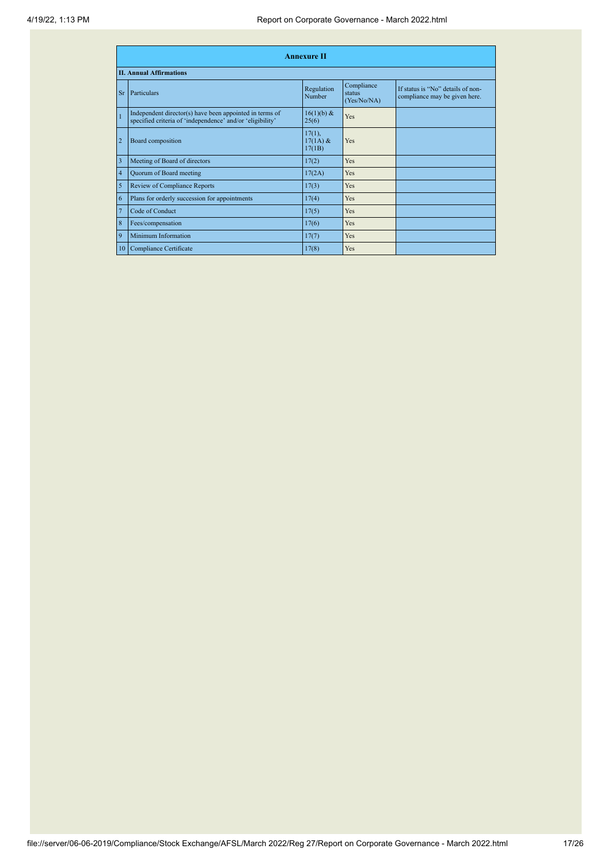|                         | <b>Annexure II</b>                                                                                                   |                                   |                                     |                                                                    |  |  |
|-------------------------|----------------------------------------------------------------------------------------------------------------------|-----------------------------------|-------------------------------------|--------------------------------------------------------------------|--|--|
|                         | <b>II. Annual Affirmations</b>                                                                                       |                                   |                                     |                                                                    |  |  |
| <b>Sr</b>               | Particulars                                                                                                          | Regulation<br>Number              | Compliance<br>status<br>(Yes/No/NA) | If status is "No" details of non-<br>compliance may be given here. |  |  |
| $\overline{1}$          | Independent director(s) have been appointed in terms of<br>specified criteria of 'independence' and/or 'eligibility' | 16(1)(b) &<br>25(6)               | Yes                                 |                                                                    |  |  |
| $\overline{2}$          | Board composition                                                                                                    | $17(1)$ ,<br>$17(1A)$ &<br>17(1B) | Yes                                 |                                                                    |  |  |
| $\overline{\mathbf{3}}$ | Meeting of Board of directors                                                                                        | 17(2)                             | Yes                                 |                                                                    |  |  |
| $\overline{4}$          | Quorum of Board meeting                                                                                              | 17(2A)                            | Yes                                 |                                                                    |  |  |
| 5                       | Review of Compliance Reports                                                                                         | 17(3)                             | Yes                                 |                                                                    |  |  |
| 6                       | Plans for orderly succession for appointments                                                                        | 17(4)                             | Yes                                 |                                                                    |  |  |
| $\overline{7}$          | Code of Conduct                                                                                                      | 17(5)                             | Yes                                 |                                                                    |  |  |
| $\,$ 8 $\,$             | Fees/compensation                                                                                                    | 17(6)                             | Yes                                 |                                                                    |  |  |
| 9                       | Minimum Information                                                                                                  | 17(7)                             | Yes                                 |                                                                    |  |  |
| 10                      | Compliance Certificate                                                                                               | 17(8)                             | Yes                                 |                                                                    |  |  |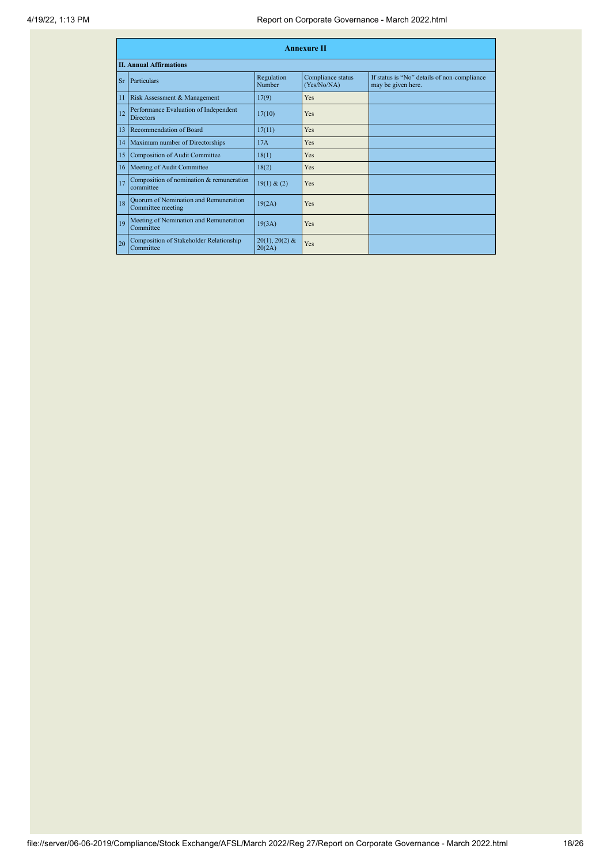|           | <b>Annexure II</b>                                         |                            |                                  |                                                                   |  |  |
|-----------|------------------------------------------------------------|----------------------------|----------------------------------|-------------------------------------------------------------------|--|--|
|           | <b>II. Annual Affirmations</b>                             |                            |                                  |                                                                   |  |  |
| <b>Sr</b> | Particulars                                                | Regulation<br>Number       | Compliance status<br>(Yes/No/NA) | If status is "No" details of non-compliance<br>may be given here. |  |  |
| 11        | Risk Assessment & Management                               | 17(9)                      | Yes                              |                                                                   |  |  |
| 12        | Performance Evaluation of Independent<br><b>Directors</b>  | 17(10)                     | Yes                              |                                                                   |  |  |
| 13        | Recommendation of Board                                    | 17(11)                     | Yes                              |                                                                   |  |  |
| 14        | Maximum number of Directorships                            | 17A                        | Yes                              |                                                                   |  |  |
| 15        | <b>Composition of Audit Committee</b>                      | 18(1)                      | Yes                              |                                                                   |  |  |
| 16        | Meeting of Audit Committee                                 | 18(2)                      | Yes                              |                                                                   |  |  |
| 17        | Composition of nomination & remuneration<br>committee      | 19(1) & (2)                | Yes                              |                                                                   |  |  |
| 18        | Quorum of Nomination and Remuneration<br>Committee meeting | 19(2A)                     | Yes                              |                                                                   |  |  |
| 19        | Meeting of Nomination and Remuneration<br>Committee        | 19(3A)                     | Yes                              |                                                                   |  |  |
| 20        | Composition of Stakeholder Relationship<br>Committee       | $20(1), 20(2)$ &<br>20(2A) | Yes                              |                                                                   |  |  |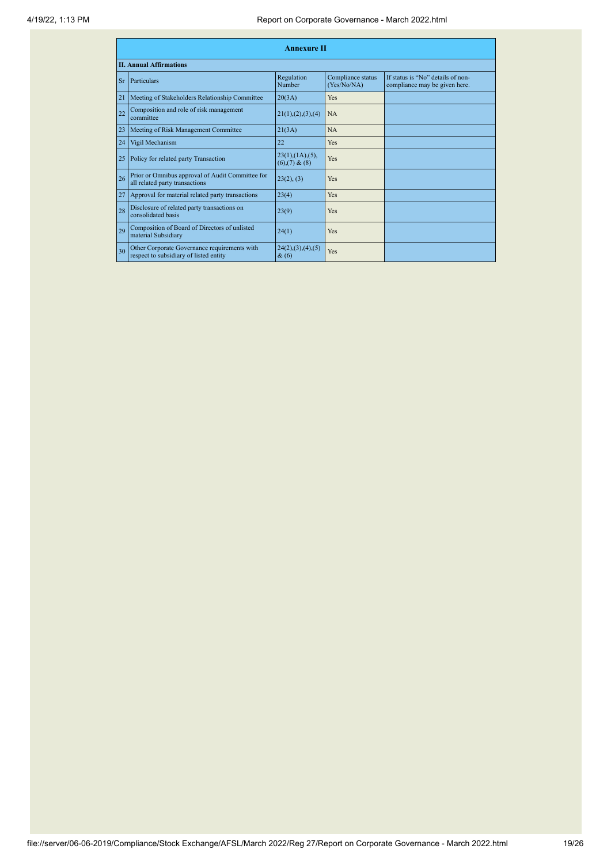|           | <b>Annexure II</b>                                                                     |                                                     |                                  |                                                                    |  |  |
|-----------|----------------------------------------------------------------------------------------|-----------------------------------------------------|----------------------------------|--------------------------------------------------------------------|--|--|
|           | <b>II. Annual Affirmations</b>                                                         |                                                     |                                  |                                                                    |  |  |
| <b>Sr</b> | Particulars                                                                            | Regulation<br>Number                                | Compliance status<br>(Yes/No/NA) | If status is "No" details of non-<br>compliance may be given here. |  |  |
| 21        | Meeting of Stakeholders Relationship Committee                                         | 20(3A)                                              | Yes                              |                                                                    |  |  |
| 22        | Composition and role of risk management<br>committee                                   | 21(1), (2), (3), (4)                                | NA                               |                                                                    |  |  |
| 23        | Meeting of Risk Management Committee                                                   | 21(3A)                                              | NA                               |                                                                    |  |  |
| 24        | Vigil Mechanism                                                                        | 22                                                  | Yes                              |                                                                    |  |  |
| 25        | Policy for related party Transaction                                                   | $23(1)$ , $(1A)$ , $(5)$ ,<br>$(6)$ , $(7)$ & $(8)$ | Yes                              |                                                                    |  |  |
| 26        | Prior or Omnibus approval of Audit Committee for<br>all related party transactions     | 23(2), (3)                                          | Yes                              |                                                                    |  |  |
| 27        | Approval for material related party transactions                                       | 23(4)                                               | Yes                              |                                                                    |  |  |
| 28        | Disclosure of related party transactions on<br>consolidated basis                      | 23(9)                                               | Yes                              |                                                                    |  |  |
| 29        | Composition of Board of Directors of unlisted<br>material Subsidiary                   | 24(1)                                               | Yes                              |                                                                    |  |  |
| 30        | Other Corporate Governance requirements with<br>respect to subsidiary of listed entity | 24(2),(3),(4),(5)<br>$\&(6)$                        | Yes                              |                                                                    |  |  |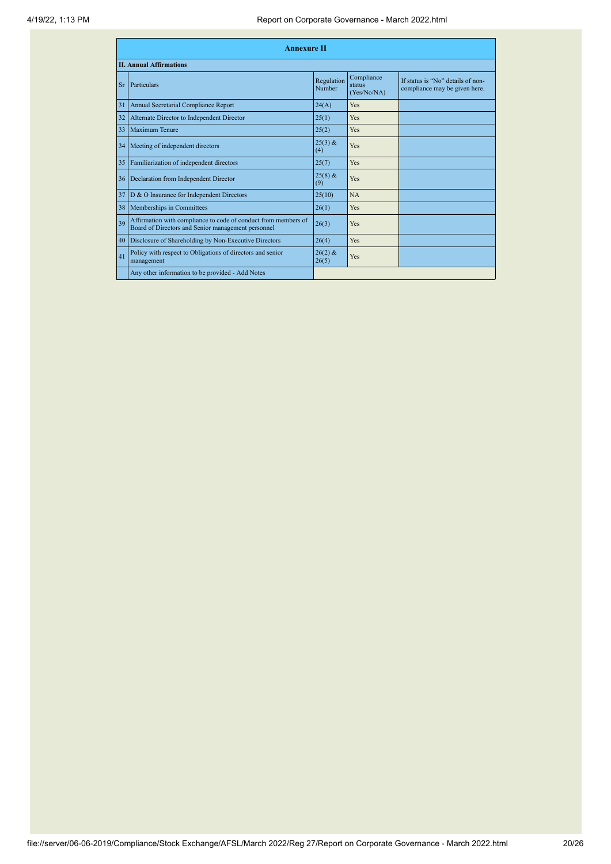|           | <b>Annexure II</b>                                                                                                   |                      |                                     |                                                                    |  |  |
|-----------|----------------------------------------------------------------------------------------------------------------------|----------------------|-------------------------------------|--------------------------------------------------------------------|--|--|
|           | <b>II. Annual Affirmations</b>                                                                                       |                      |                                     |                                                                    |  |  |
| <b>Sr</b> | Particulars                                                                                                          | Regulation<br>Number | Compliance<br>status<br>(Yes/No/NA) | If status is "No" details of non-<br>compliance may be given here. |  |  |
| 31        | Annual Secretarial Compliance Report                                                                                 | 24(A)                | <b>Yes</b>                          |                                                                    |  |  |
| 32        | Alternate Director to Independent Director                                                                           | 25(1)                | Yes                                 |                                                                    |  |  |
| 33        | <b>Maximum Tenure</b>                                                                                                | 25(2)                | Yes                                 |                                                                    |  |  |
| 34        | Meeting of independent directors                                                                                     | $25(3)$ &<br>(4)     | Yes                                 |                                                                    |  |  |
| 35        | Familiarization of independent directors                                                                             | 25(7)                | Yes                                 |                                                                    |  |  |
|           | 36 <sup>1</sup><br>Declaration from Independent Director                                                             | $25(8)$ &<br>(9)     | Yes                                 |                                                                    |  |  |
| 37        | D & O Insurance for Independent Directors                                                                            | 25(10)               | <b>NA</b>                           |                                                                    |  |  |
| 38        | Memberships in Committees                                                                                            | 26(1)                | Yes                                 |                                                                    |  |  |
| 39        | Affirmation with compliance to code of conduct from members of<br>Board of Directors and Senior management personnel | 26(3)                | Yes                                 |                                                                    |  |  |
| 40        | Disclosure of Shareholding by Non-Executive Directors                                                                | 26(4)                | Yes                                 |                                                                    |  |  |
| 41        | Policy with respect to Obligations of directors and senior<br>management                                             | $26(2)$ &<br>26(5)   | Yes                                 |                                                                    |  |  |
|           | Any other information to be provided - Add Notes                                                                     |                      |                                     |                                                                    |  |  |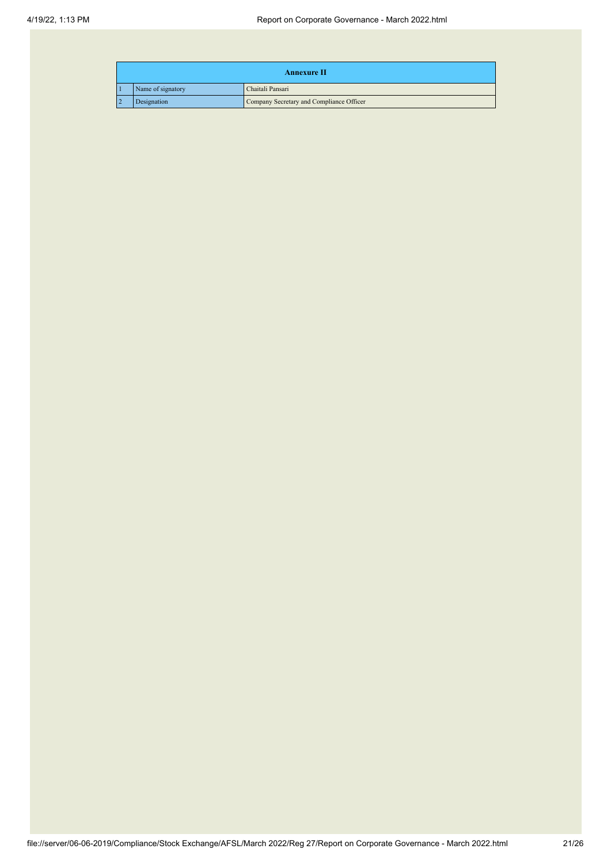| <b>Annexure II</b> |                   |                                          |  |  |
|--------------------|-------------------|------------------------------------------|--|--|
|                    | Name of signatory | Chaitali Pansari                         |  |  |
|                    | Designation       | Company Secretary and Compliance Officer |  |  |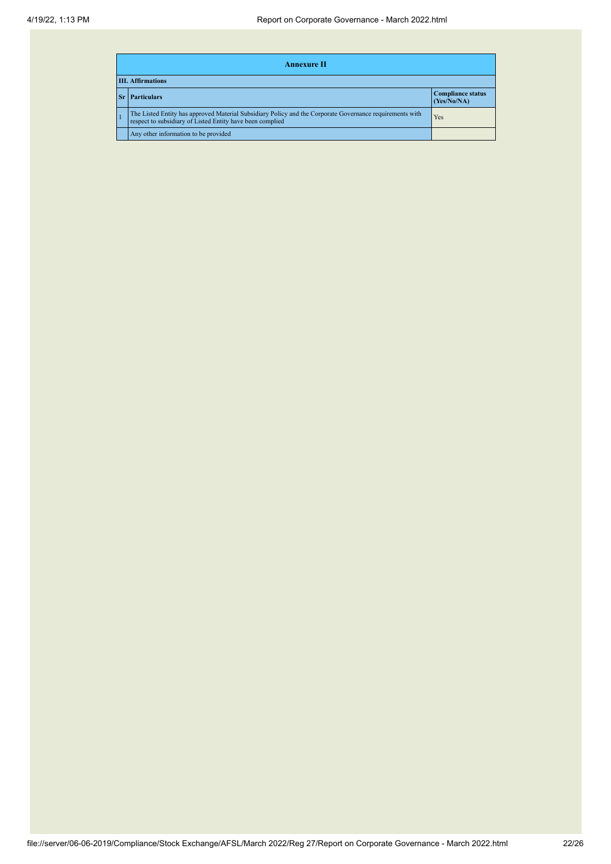|                          | <b>Annexure II</b>                                                                                                                                                    |                                         |  |  |  |
|--------------------------|-----------------------------------------------------------------------------------------------------------------------------------------------------------------------|-----------------------------------------|--|--|--|
| <b>III. Affirmations</b> |                                                                                                                                                                       |                                         |  |  |  |
|                          | <b>Particulars</b>                                                                                                                                                    | <b>Compliance status</b><br>(Yes/No/NA) |  |  |  |
|                          | The Listed Entity has approved Material Subsidiary Policy and the Corporate Governance requirements with<br>respect to subsidiary of Listed Entity have been complied | Yes                                     |  |  |  |
|                          | Any other information to be provided                                                                                                                                  |                                         |  |  |  |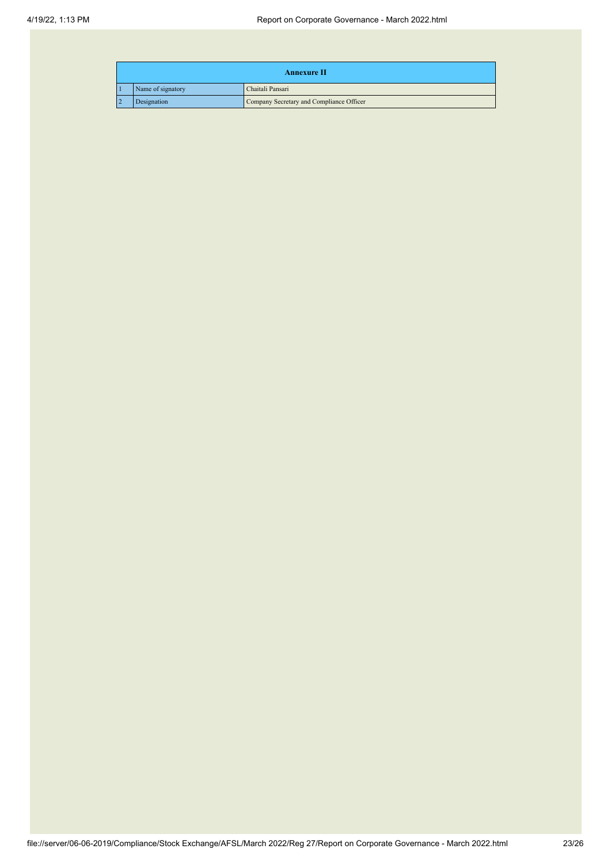| <b>Annexure II</b> |                   |                                          |  |  |
|--------------------|-------------------|------------------------------------------|--|--|
|                    | Name of signatory | Chaitali Pansari                         |  |  |
|                    | Designation       | Company Secretary and Compliance Officer |  |  |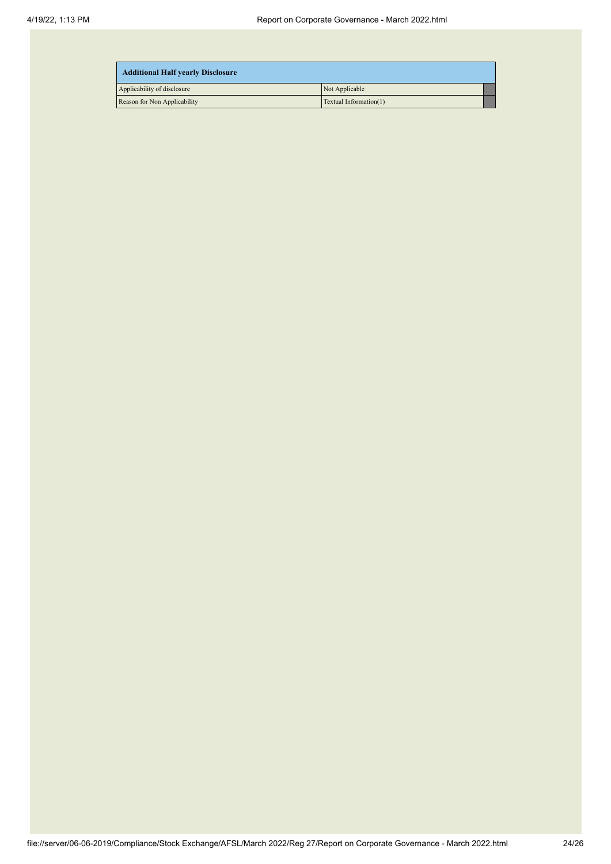| <b>Additional Half yearly Disclosure</b> |                        |  |
|------------------------------------------|------------------------|--|
| Applicability of disclosure              | Not Applicable         |  |
| Reason for Non Applicability             | Textual Information(1) |  |